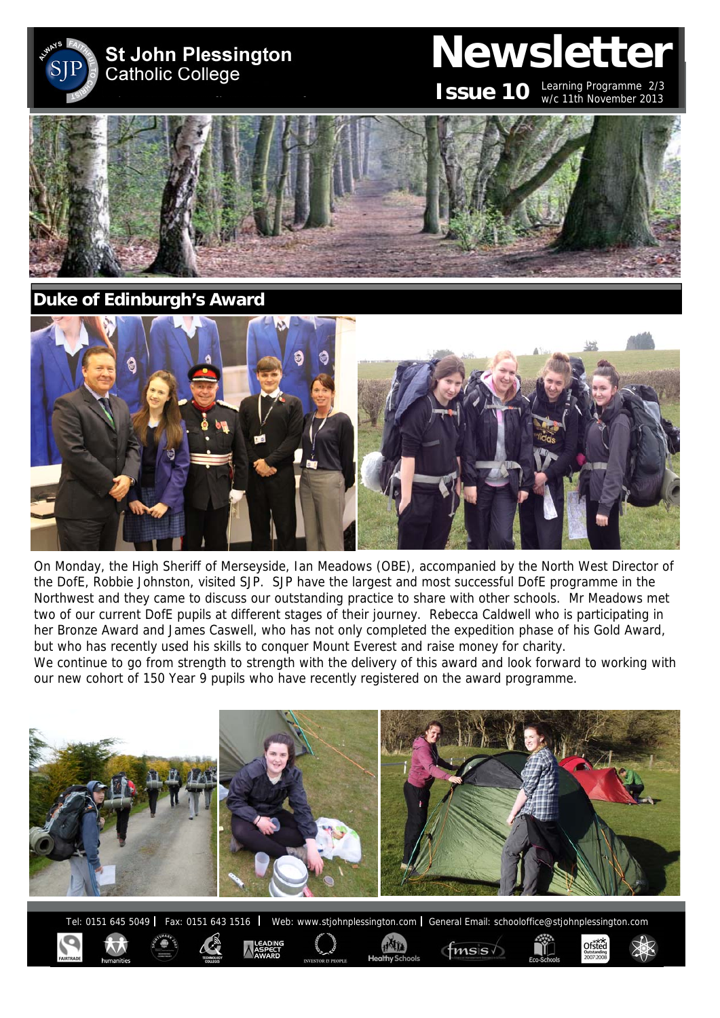

# **Newsletter**

**ISSUE 10** Learning Programme 2/3 w/c 11th November 2013

Ofsted



**Duke of Edinburgh's Award** 



On Monday, the High Sheriff of Merseyside, Ian Meadows (OBE), accompanied by the North West Director of the DofE, Robbie Johnston, visited SJP. SJP have the largest and most successful DofE programme in the Northwest and they came to discuss our outstanding practice to share with other schools. Mr Meadows met two of our current DofE pupils at different stages of their journey. Rebecca Caldwell who is participating in her Bronze Award and James Caswell, who has not only completed the expedition phase of his Gold Award, but who has recently used his skills to conquer Mount Everest and raise money for charity.

We continue to go from strength to strength with the delivery of this award and look forward to working with our new cohort of 150 Year 9 pupils who have recently registered on the award programme.



Tel: 0151 645 5049 | Fax: 0151 643 1516 | Web: www.stjohnplessington.com | General Email: schooloffice@stjohnplessington.com

 $f$ msis $\sqrt$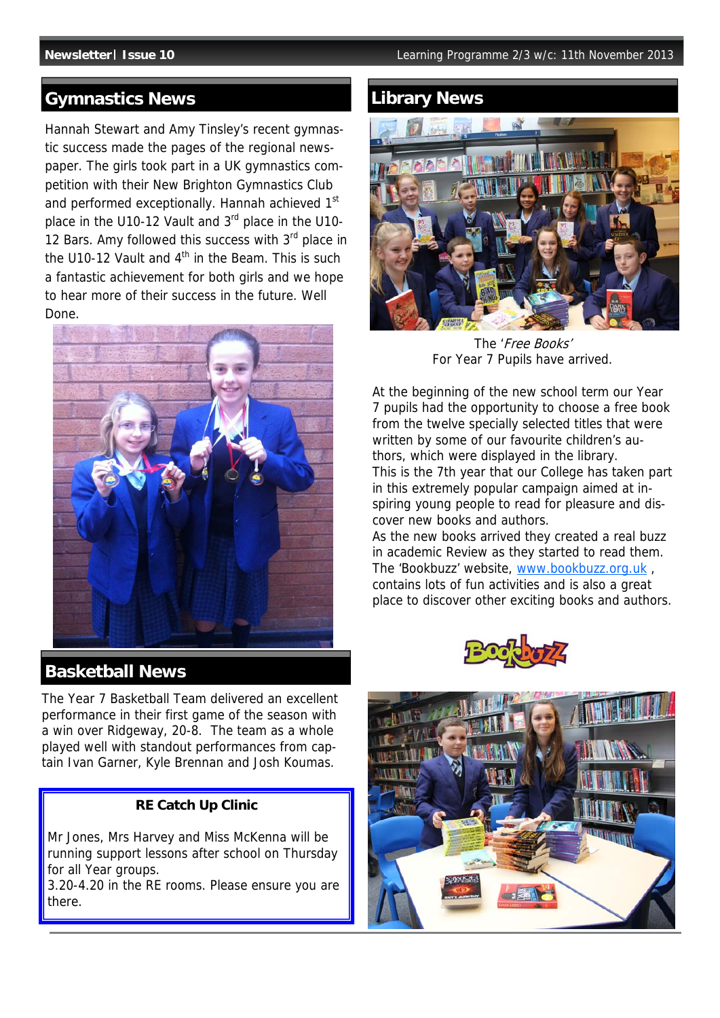### **Gymnastics News Community Community** Library News

Hannah Stewart and Amy Tinsley's recent gymnastic success made the pages of the regional newspaper. The girls took part in a UK gymnastics competition with their New Brighton Gymnastics Club and performed exceptionally. Hannah achieved 1<sup>st</sup> place in the U10-12 Vault and 3rd place in the U10- 12 Bars. Amy followed this success with 3<sup>rd</sup> place in the U10-12 Vault and  $4<sup>th</sup>$  in the Beam. This is such a fantastic achievement for both girls and we hope to hear more of their success in the future. Well Done.



### **Basketball News**

The Year 7 Basketball Team delivered an excellent performance in their first game of the season with a win over Ridgeway, 20-8. The team as a whole played well with standout performances from captain Ivan Garner, Kyle Brennan and Josh Koumas.

#### **RE Catch Up Clinic**

Mr Jones, Mrs Harvey and Miss McKenna will be running support lessons after school on Thursday for all Year groups.

3.20-4.20 in the RE rooms. Please ensure you are there.



The 'Free Books' For Year 7 Pupils have arrived.

At the beginning of the new school term our Year 7 pupils had the opportunity to choose a free book from the twelve specially selected titles that were written by some of our favourite children's authors, which were displayed in the library. This is the 7th year that our College has taken part in this extremely popular campaign aimed at inspiring young people to read for pleasure and discover new books and authors.

As the new books arrived they created a real buzz in academic Review as they started to read them. The 'Bookbuzz' website, www.bookbuzz.org.uk , contains lots of fun activities and is also a great place to discover other exciting books and authors.



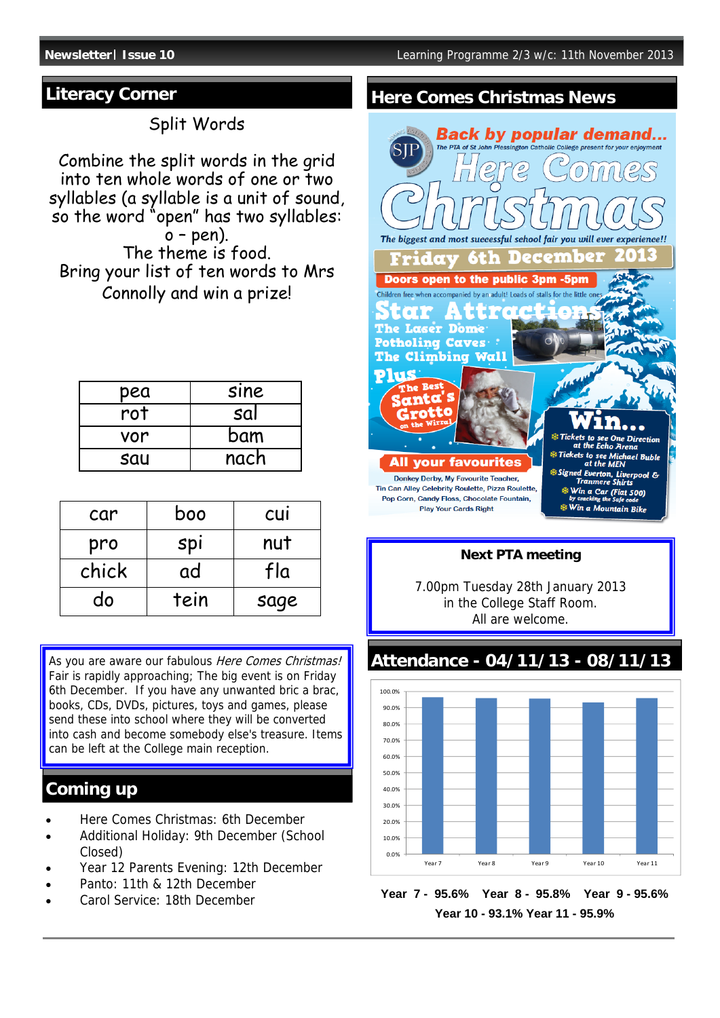### **Literacy Corner**

Split Words

Combine the split words in the grid into ten whole words of one or two syllables (a syllable is a unit of sound, so the word "open" has two syllables:  $o$  – pen). The theme is food. Bring your list of ten words to Mrs Connolly and win a prize!

| pea | <b>SINE</b> |
|-----|-------------|
| rot | sal         |
| vor | bam         |
| sau | nach        |

| car   | boo  | <b>CUI</b> |
|-------|------|------------|
| pro   | spi  | nut        |
| chick | ad   | fla        |
| do    | tein | sage       |

As you are aware our fabulous Here Comes Christmas! Fair is rapidly approaching; The big event is on Friday 6th December. If you have any unwanted bric a brac, books, CDs, DVDs, pictures, toys and games, please send these into school where they will be converted into cash and become somebody else's treasure. Items can be left at the College main reception.

# **Coming up**

- Here Comes Christmas: 6th December
- Additional Holiday: 9th December (School Closed)
- Year 12 Parents Evening: 12th December
- Panto: 11th & 12th December
- Carol Service: 18th December

## **Here Comes Christmas News**



#### **Next PTA meeting**

7.00pm Tuesday 28th January 2013 in the College Staff Room. All are welcome.

**Attendance - 04/11/13 - 08/11/13**



**Year 7 - 95.6% Year 8 - 95.8% Year 9 - 95.6% Year 10 - 93.1% Year 11 - 95.9%**